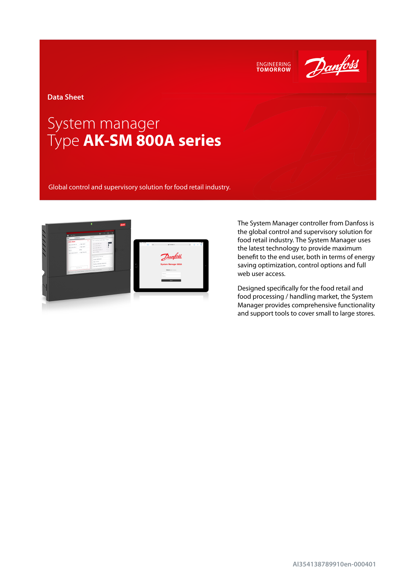

Danfoss

**Data Sheet**

# System manager Type **AK-SM 800A series**

Global control and supervisory solution for food retail industry.



The System Manager controller from Danfoss is the global control and supervisory solution for food retail industry. The System Manager uses the latest technology to provide maximum benefit to the end user, both in terms of energy saving optimization, control options and full web user access.

Designed specifically for the food retail and food processing / handling market, the System Manager provides comprehensive functionality and support tools to cover small to large stores.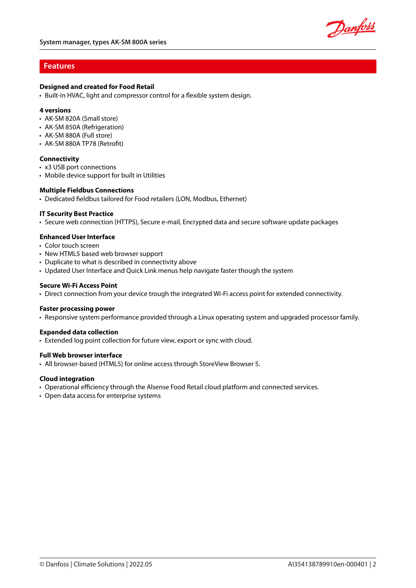## **Features**

## **Designed and created for Food Retail**

• Built-in HVAC, light and compressor control for a flexible system design.

## **4 versions**

- AK-SM 820A (Small store)
- AK-SM 850A (Refrigeration)
- AK-SM 880A (Full store)
- AK-SM 880A TP78 (Retrofit)

## **Connectivity**

- x3 USB port connections
- Mobile device support for built in Utilities

## **Multiple Fieldbus Connections**

• Dedicated fieldbus tailored for Food retailers (LON, Modbus, Ethernet)

## **IT Security Best Practice**

• Secure web connection (HTTPS), Secure e-mail, Encrypted data and secure software update packages

## **Enhanced User Interface**

- Color touch screen
- New HTML5 based web browser support
- Duplicate to what is described in connectivity above
- Updated User Interface and Quick Link menus help navigate faster though the system

## **Secure Wi-Fi Access Point**

• Direct connection from your device trough the integrated Wi-Fi access point for extended connectivity.

#### **Faster processing power**

• Responsive system performance provided through a Linux operating system and upgraded processor family.

#### **Expanded data collection**

• Extended log point collection for future view, export or sync with cloud.

## **Full Web browser interface**

• All browser-based (HTML5) for online access through StoreView Browser 5.

## **Cloud integration**

- Operational efficiency through the Alsense Food Retail cloud platform and connected services.
- Open data access for enterprise systems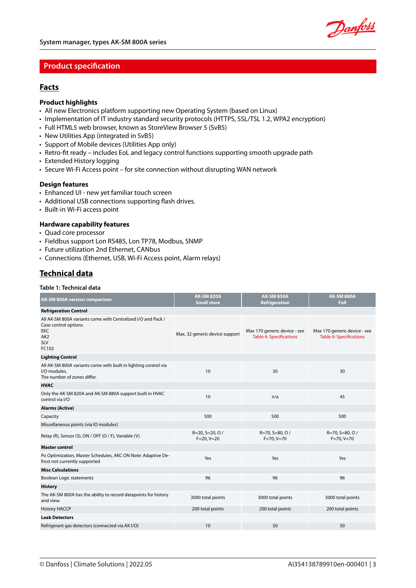

## **Product specification**

## **Facts**

## **Product highlights**

- All new Electronics platform supporting new Operating System (based on Linux)
- Implementation of IT industry standard security protocols (HTTPS, SSL/TSL 1.2, WPA2 encryption)
- Full HTML5 web browser, known as StoreView Browser 5 (SvB5)
- New Utilities App (integrated in SvB5)
- Support of Mobile devices (Utilities App only)
- Retro-fit ready includes EoL and legacy control functions supporting smooth upgrade path
- Extended History logging
- Secure Wi-Fi Access point for site connection without disrupting WAN network

## **Design features**

- Enhanced UI new yet familiar touch screen
- Additional USB connections supporting flash drives.
- Built-in Wi-Fi access point

## **Hardware capability features**

- Quad core processor
- Fieldbus support Lon RS485, Lon TP78, Modbus, SNMP
- Future utilization 2nd Ethernet, CANbus
- Connections (Ethernet, USB, Wi-Fi Access point, Alarm relays)

# **Technical data**

#### **Table 1: Technical data**

| <b>AK-SM 800A version comparison</b>                                                                                                          | <b>AK-SM 820A</b><br><b>Small store</b>  | <b>AK-SM 850A</b><br><b>Refrigeration</b>                      | <b>AK-SM 880A</b><br>Full                                      |
|-----------------------------------------------------------------------------------------------------------------------------------------------|------------------------------------------|----------------------------------------------------------------|----------------------------------------------------------------|
| <b>Refrigeration Control</b>                                                                                                                  |                                          |                                                                |                                                                |
| All AK-SM 800A variants come with Centralized I/O and Pack /<br>Case control options.<br><b>EKC</b><br>AK <sub>2</sub><br><b>SLV</b><br>FC102 | Max. 32 generic device support           | Max 170 generic device - see<br><b>Table 4: Specifications</b> | Max 170 generic device - see<br><b>Table 4: Specifications</b> |
| <b>Lighting Control</b>                                                                                                                       |                                          |                                                                |                                                                |
| All AK-SM 800A variants come with built in lighting control via<br>I/O modules.<br>The number of zones differ.                                | 10                                       | 30                                                             | 30                                                             |
| <b>HVAC</b>                                                                                                                                   |                                          |                                                                |                                                                |
| Only the AK-SM 820A and AK-SM 880A support built in HVAC<br>control via I/O                                                                   | 10                                       | n/a                                                            | 45                                                             |
| <b>Alarms (Active)</b>                                                                                                                        |                                          |                                                                |                                                                |
| Capacity                                                                                                                                      | 500                                      | 500                                                            | 500                                                            |
| Miscellaneous points (via IO modules)                                                                                                         |                                          |                                                                |                                                                |
| Relay (R), Sensor (S), ON / OFF (O / F), Variable (V)                                                                                         | $R = 20, S = 20, O/$<br>$F = 20, V = 20$ | R=70, S=80, O/<br>$F = 70, V = 70$                             | R=70, S=80, O /<br>$F = 70, V = 70$                            |
| <b>Master control</b>                                                                                                                         |                                          |                                                                |                                                                |
| Po Optimization, Master Schedules, AKC ON Note: Adaptive De-<br>frost not currently supported                                                 | Yes                                      | Yes                                                            | Yes                                                            |
| <b>Misc Calculations</b>                                                                                                                      |                                          |                                                                |                                                                |
| Boolean Logic statements                                                                                                                      | 96                                       | 96                                                             | 96                                                             |
| <b>History</b>                                                                                                                                |                                          |                                                                |                                                                |
| The AK-SM 800A has the ability to record datapoints for history<br>and view.                                                                  | 3000 total points                        | 3000 total points                                              | 3000 total points                                              |
| <b>History HACCP</b>                                                                                                                          | 200 total points                         | 200 total points                                               | 200 total points                                               |
| <b>Leak Detectors</b>                                                                                                                         |                                          |                                                                |                                                                |
| Refrigerant gas detectors (connected via AK I/O)                                                                                              | 10                                       | 50                                                             | 50                                                             |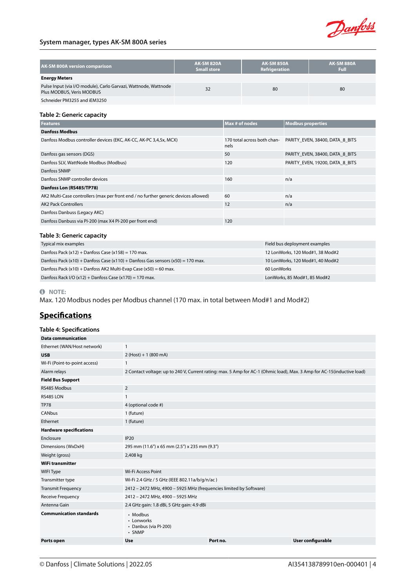

## <span id="page-3-0"></span>**System manager, types AK-SM 800A series**

| <b>AK-SM 800A version comparison</b>                                                         | <b>AK-SM 820A</b><br><b>Small store</b> | <b>AK-SM 850A</b><br>Refrigeration | <b>AK-SM 880A</b><br><b>Full</b> |
|----------------------------------------------------------------------------------------------|-----------------------------------------|------------------------------------|----------------------------------|
| <b>Energy Meters</b>                                                                         |                                         |                                    |                                  |
| Pulse Input (via I/O module), Carlo Garvazi, Wattnode, Wattnode<br>Plus MODBUS, Veris MODBUS | 32                                      | 80                                 | 80                               |
| Schneider PM3255 and iEM3250                                                                 |                                         |                                    |                                  |

## **Table 2: Generic capacity**

| <b>Features</b>                                                                     | Max # of nodes                      | <b>Modbus properties</b>        |
|-------------------------------------------------------------------------------------|-------------------------------------|---------------------------------|
| <b>Danfoss Modbus</b>                                                               |                                     |                                 |
| Danfoss Modbus controller devices (EKC, AK-CC, AK-PC 3,4,5x, MCX)                   | 170 total across both chan-<br>nels | PARITY EVEN, 38400, DATA_8_BITS |
| Danfoss gas sensors (DGS)                                                           | 50                                  | PARITY EVEN, 38400, DATA 8 BITS |
| Danfoss SLV, WattNode Modbus (Modbus)                                               | 120                                 | PARITY EVEN, 19200, DATA 8 BITS |
| Danfoss SNMP                                                                        |                                     |                                 |
| Danfoss SNMP controller devices                                                     | 160                                 | n/a                             |
| Danfoss Lon (RS485/TP78)                                                            |                                     |                                 |
| AK2 Multi-Case controllers (max per front end / no further generic devices allowed) | 60                                  | n/a                             |
| <b>AK2 Pack Controllers</b>                                                         | 12                                  | n/a                             |
| Danfoss Danbuss (Legacy AKC)                                                        |                                     |                                 |
| Danfoss Danbuss via PI-200 (max X4 PI-200 per front end)                            | 120                                 |                                 |

## **Table 3: Generic capacity**

| Typical mix examples                                                                  | Field bus deployment examples    |
|---------------------------------------------------------------------------------------|----------------------------------|
| Danfoss Pack $(x12)$ + Danfoss Case $(x158)$ = 170 max.                               | 12 LonWorks, 120 Mod#1, 38 Mod#2 |
| Danfoss Pack $(x10)$ + Danfoss Case $(x110)$ + Danfoss Gas sensors $(x50)$ = 170 max. | 10 LonWorks, 120 Mod#1, 40 Mod#2 |
| Danfoss Pack $(x10)$ + Danfoss AK2 Multi-Evap Case $(x50)$ = 60 max.                  | 60 LonWorks                      |
| Danfoss Rack I/O $(x12)$ + Danfoss Case $(x170)$ = 170 max.                           | LonWorks, 85 Mod#1, 85 Mod#2     |

## **0** NOTE:

Max. 120 Modbus nodes per Modbus channel (170 max. in total between Mod#1 and Mod#2)

# **Specifications**

| <b>Table 4: Specifications</b> |                                                                    |                                                                                                                        |                   |
|--------------------------------|--------------------------------------------------------------------|------------------------------------------------------------------------------------------------------------------------|-------------------|
| <b>Data communication</b>      |                                                                    |                                                                                                                        |                   |
| Ethernet (WAN/Host network)    | $\mathbf{1}$                                                       |                                                                                                                        |                   |
| <b>USB</b>                     | $2 (Host) + 1 (800 mA)$                                            |                                                                                                                        |                   |
| Wi-Fi (Point-to-point access)  | $\mathbf{1}$                                                       |                                                                                                                        |                   |
| Alarm relays                   |                                                                    | 2 Contact voltage: up to 240 V, Current rating: max. 5 Amp for AC-1 (Ohmic load), Max. 3 Amp for AC-15(inductive load) |                   |
| <b>Field Bus Support</b>       |                                                                    |                                                                                                                        |                   |
| RS485 Modbus                   | $\overline{2}$                                                     |                                                                                                                        |                   |
| RS485 LON                      | $\mathbf{1}$                                                       |                                                                                                                        |                   |
| <b>TP78</b>                    | 4 (optional code #)                                                |                                                                                                                        |                   |
| <b>CANbus</b>                  | 1 (future)                                                         |                                                                                                                        |                   |
| Ethernet                       | 1 (future)                                                         |                                                                                                                        |                   |
| <b>Hardware specifications</b> |                                                                    |                                                                                                                        |                   |
| Enclosure                      | <b>IP20</b>                                                        |                                                                                                                        |                   |
| Dimensions (WxDxH)             | 295 mm (11.6") x 65 mm (2.5") x 235 mm (9.3")                      |                                                                                                                        |                   |
| Weight (gross)                 | 2,408 kg                                                           |                                                                                                                        |                   |
| <b>WiFi transmitter</b>        |                                                                    |                                                                                                                        |                   |
| <b>WIFI Type</b>               | Wi-Fi Access Point                                                 |                                                                                                                        |                   |
| Transmitter type               | Wi-Fi 2.4 GHz / 5 GHz (IEEE 802.11a/b/g/n/ac)                      |                                                                                                                        |                   |
| <b>Transmit Frequency</b>      | 2412 - 2472 MHz, 4900 - 5925 MHz (frequencies limited by Software) |                                                                                                                        |                   |
| <b>Receive Frequency</b>       | 2412 - 2472 MHz, 4900 - 5925 MHz                                   |                                                                                                                        |                   |
| Antenna Gain                   | 2.4 GHz gain: 1.8 dBi, 5 GHz gain: 4.9 dBi                         |                                                                                                                        |                   |
| <b>Communication standards</b> | • Modbus<br>• Lonworks<br>• Danbus (via PI-200)<br>· SNMP          |                                                                                                                        |                   |
| Ports open                     | Use                                                                | Port no.                                                                                                               | User configurable |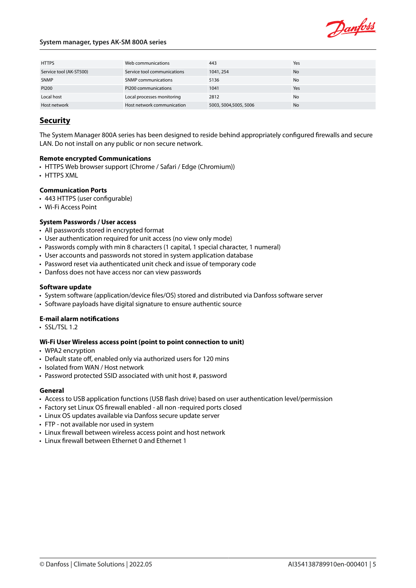

#### **System manager, types AK-SM 800A series**

| <b>HTTPS</b>            | Web communications          | 443                    | Yes       |
|-------------------------|-----------------------------|------------------------|-----------|
| Service tool (AK-ST500) | Service tool communications | 1041, 254              | <b>No</b> |
| <b>SNMP</b>             | <b>SNMP</b> communications  | 5136                   | No        |
| PI200                   | PI200 communications        | 1041                   | Yes       |
| Local host              | Local processes monitoring  | 2812                   | No        |
| Host network            | Host network communication  | 5003, 5004, 5005, 5006 | <b>No</b> |

## **Security**

The System Manager 800A series has been designed to reside behind appropriately configured firewalls and secure LAN. Do not install on any public or non secure network.

## **Remote encrypted Communications**

- HTTPS Web browser support (Chrome / Safari / Edge (Chromium))
- HTTPS XML

## **Communication Ports**

- 443 HTTPS (user configurable)
- Wi-Fi Access Point

## **System Passwords / User access**

- All passwords stored in encrypted format
- User authentication required for unit access (no view only mode)
- Passwords comply with min 8 characters (1 capital, 1 special character, 1 numeral)
- User accounts and passwords not stored in system application database
- Password reset via authenticated unit check and issue of temporary code
- Danfoss does not have access nor can view passwords

#### **Software update**

- System software (application/device files/OS) stored and distributed via Danfoss software server
- Software payloads have digital signature to ensure authentic source

#### **E-mail alarm notifications**

• SSL/TSL 1.2

## **Wi-Fi User Wireless access point (point to point connection to unit)**

- WPA2 encryption
- Default state off, enabled only via authorized users for 120 mins
- Isolated from WAN / Host network
- Password protected SSID associated with unit host #, password

#### **General**

- Access to USB application functions (USB flash drive) based on user authentication level/permission
- Factory set Linux OS firewall enabled all non -required ports closed
- Linux OS updates available via Danfoss secure update server
- FTP not available nor used in system
- Linux firewall between wireless access point and host network
- $\cdot$  Linux firewall between Ethernet 0 and Ethernet 1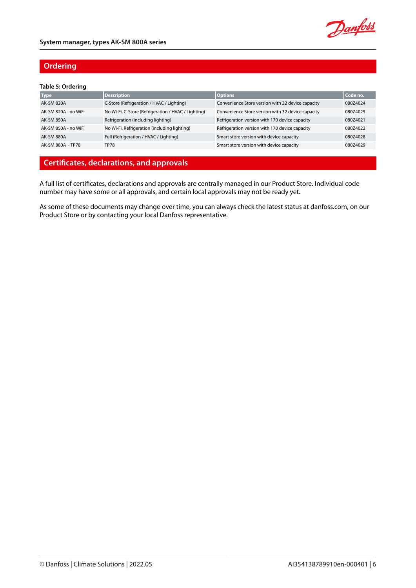

## **Ordering**

## **Table 5: Ordering**

| <b>Description</b>                                  | <b>Options</b>                                    | Code no. |
|-----------------------------------------------------|---------------------------------------------------|----------|
| C-Store (Refrigeration / HVAC / Lighting)           | Convenience Store version with 32 device capacity | 080Z4024 |
| No Wi-Fi, C-Store (Refrigeration / HVAC / Lighting) | Convenience Store version with 32 device capacity | 080Z4025 |
| Refrigeration (including lighting)                  | Refrigeration version with 170 device capacity    | 080Z4021 |
| No Wi-Fi, Refrigeration (including lighting)        | Refrigeration version with 170 device capacity    | 080Z4022 |
| Full (Refrigeration / HVAC / Lighting)              | Smart store version with device capacity          | 080Z4028 |
| <b>TP78</b>                                         | Smart store version with device capacity          | 080Z4029 |
|                                                     |                                                   |          |

## **Certificates, declarations, and approvals**

A full list of certificates, declarations and approvals are centrally managed in our Product Store. Individual code number may have some or all approvals, and certain local approvals may not be ready yet.

As some of these documents may change over time, you can always check the latest status at danfoss.com, on our Product Store or by contacting your local Danfoss representative.